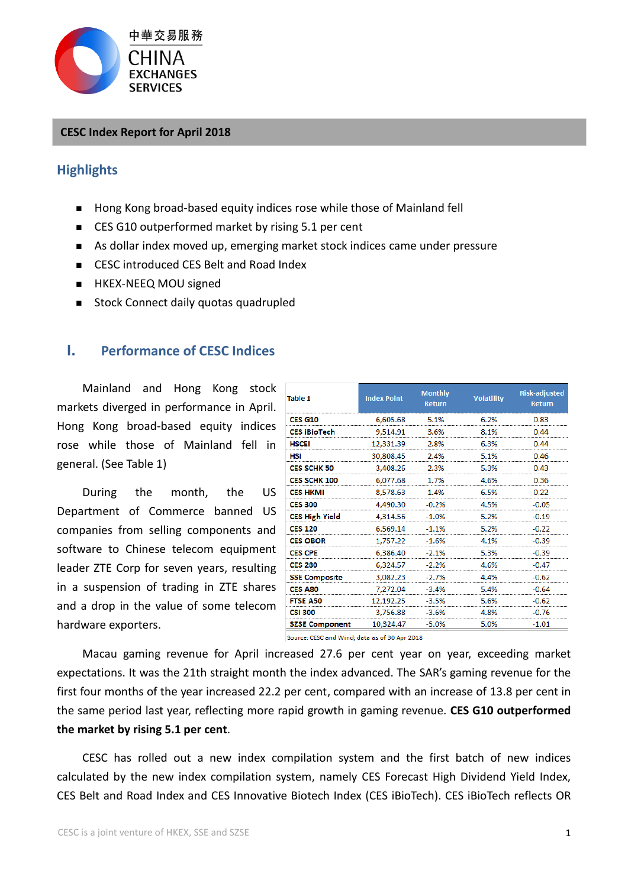

#### **CESC Index Report for April 2018**

## **Highlights**

- Hong Kong broad-based equity indices rose while those of Mainland fell
- CES G10 outperformed market by rising 5.1 per cent
- As dollar index moved up, emerging market stock indices came under pressure
- CESC introduced CES Belt and Road Index
- **HKEX-NEEQ MOU signed**
- Stock Connect daily quotas quadrupled

# **I. Performance of CESC Indices**

Mainland and Hong Kong stock markets diverged in performance in April. Hong Kong broad-based equity indices rose while those of Mainland fell in general. (See Table 1)

During the month, the US Department of Commerce banned US companies from selling components and software to Chinese telecom equipment leader ZTE Corp for seven years, resulting in a suspension of trading in ZTE shares and a drop in the value of some telecom hardware exporters.

| <b>Table 1</b>        | <b>Index Point</b> | <b>Monthly</b><br><b>Return</b> | <b>Volatility</b> | <b>Risk-adjusted</b><br><b>Return</b> |
|-----------------------|--------------------|---------------------------------|-------------------|---------------------------------------|
| <b>CES G10</b>        | 6,605.68           | 5.1%                            | 6.2%              | 0.83                                  |
| <b>CES iBioTech</b>   | 9,514.91           | 3.6%                            | 8.1%              | 0.44                                  |
| <b>HSCEI</b>          | 12,331.39          | 2.8%                            | 6.3%              | 0.44                                  |
| HSI                   | 30,808.45          | 2.4%                            | 5.1%              | 0.46                                  |
| <b>CES SCHK 50</b>    | 3,408.26           | 2.3%                            | 5.3%              | 0.43                                  |
| <b>CES SCHK 100</b>   | 6,077.68           | 1.7%                            | 4.6%              | 0.36                                  |
| <b>CES HKMI</b>       | 8,578.63           | 1.4%                            | 6.5%              | 0.22                                  |
| <b>CES 300</b>        | 4,490.30           | $-0.2%$                         | 4.5%              | $-0.05$                               |
| <b>CES High Yield</b> | 4,314.56           | $-1.0%$                         | 5.2%              | $-0.19$                               |
| <b>CES 120</b>        | 6,569.14           | $-1.1%$                         | 5.2%              | $-0.22$                               |
| <b>CES OBOR</b>       | 1,757.22           | $-1.6%$                         | 4.1%              | $-0.39$                               |
| <b>CES CPE</b>        | 6,386.40           | $-2.1%$                         | 5.3%              | $-0.39$                               |
| <b>CES 280</b>        | 6,324.57           | $-2.2%$                         | 4.6%              | $-0.47$                               |
| <b>SSE Composite</b>  | 3,082.23           | $-2.7%$                         | 4.4%              | $-0.62$                               |
| <b>CES A80</b>        | 7,272.04           | $-3.4%$                         | 5.4%              | $-0.64$                               |
| <b>FTSE A50</b>       | 12,192.25          | $-3.5%$                         | 5.6%              | $-0.62$                               |
| <b>CSI 300</b>        | 3,756.88           | $-3.6%$                         | 4.8%              | $-0.76$                               |
| <b>SZSE Component</b> | 10,324.47          | $-5.0%$                         | 5.0%              | $-1.01$                               |

Source: CESC and Wind; data as of 30 Apr 2018

Macau gaming revenue for April increased 27.6 per cent year on year, exceeding market expectations. It was the 21th straight month the index advanced. The SAR's gaming revenue for the first four months of the year increased 22.2 per cent, compared with an increase of 13.8 per cent in the same period last year, reflecting more rapid growth in gaming revenue. **CES G10 outperformed the market by rising 5.1 per cent**.

CESC has rolled out a new index compilation system and the first batch of new indices calculated by the new index compilation system, namely CES Forecast High Dividend Yield Index, CES Belt and Road Index and CES Innovative Biotech Index (CES iBioTech). CES iBioTech reflects OR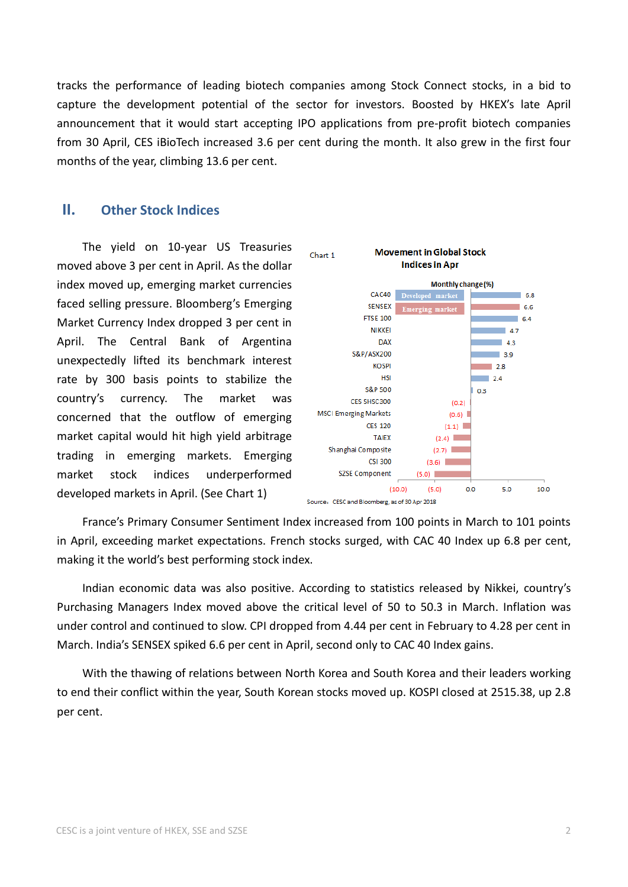tracks the performance of leading biotech companies among Stock Connect stocks, in a bid to capture the development potential of the sector for investors. Boosted by HKEX's late April announcement that it would start accepting IPO applications from pre-profit biotech companies from 30 April, CES iBioTech increased 3.6 per cent during the month. It also grew in the first four months of the year, climbing 13.6 per cent.

### **II. Other Stock Indices**

The yield on 10-year US Treasuries moved above 3 per cent in April. As the dollar index moved up, emerging market currencies faced selling pressure. Bloomberg's Emerging Market Currency Index dropped 3 per cent in April. The Central Bank of Argentina unexpectedly lifted its benchmark interest rate by 300 basis points to stabilize the country's currency. The market was concerned that the outflow of emerging market capital would hit high yield arbitrage trading in emerging markets. Emerging market stock indices underperformed developed markets in April. (See Chart 1)



France's Primary Consumer Sentiment Index increased from 100 points in March to 101 points in April, exceeding market expectations. French stocks surged, with CAC 40 Index up 6.8 per cent, making it the world's best performing stock index.

Indian economic data was also positive. According to statistics released by Nikkei, country's Purchasing Managers Index moved above the critical level of 50 to 50.3 in March. Inflation was under control and continued to slow. CPI dropped from 4.44 per cent in February to 4.28 per cent in March. India's SENSEX spiked 6.6 per cent in April, second only to CAC 40 Index gains.

With the thawing of relations between North Korea and South Korea and their leaders working to end their conflict within the year, South Korean stocks moved up. KOSPI closed at 2515.38, up 2.8 per cent.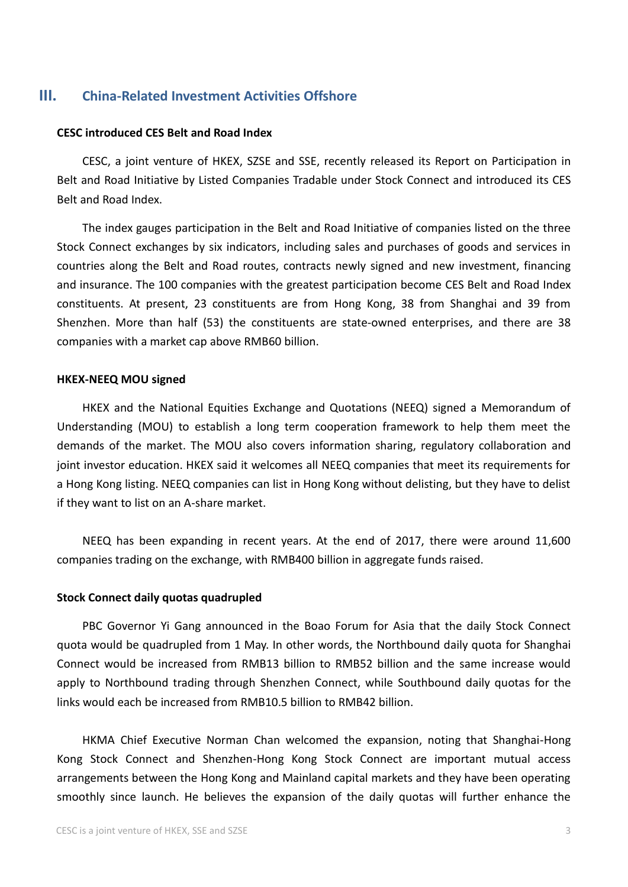## **III. China-Related Investment Activities Offshore**

#### **CESC introduced CES Belt and Road Index**

CESC, a joint venture of HKEX, SZSE and SSE, recently released its Report on Participation in Belt and Road Initiative by Listed Companies Tradable under Stock Connect and introduced its CES Belt and Road Index.

The index gauges participation in the Belt and Road Initiative of companies listed on the three Stock Connect exchanges by six indicators, including sales and purchases of goods and services in countries along the Belt and Road routes, contracts newly signed and new investment, financing and insurance. The 100 companies with the greatest participation become CES Belt and Road Index constituents. At present, 23 constituents are from Hong Kong, 38 from Shanghai and 39 from Shenzhen. More than half (53) the constituents are state-owned enterprises, and there are 38 companies with a market cap above RMB60 billion.

#### **HKEX-NEEQ MOU signed**

HKEX and the National Equities Exchange and Quotations (NEEQ) signed a Memorandum of Understanding (MOU) to establish a long term cooperation framework to help them meet the demands of the market. The MOU also covers information sharing, regulatory collaboration and joint investor education. HKEX said it welcomes all NEEQ companies that meet its requirements for a Hong Kong listing. NEEQ companies can list in Hong Kong without delisting, but they have to delist if they want to list on an A-share market.

NEEQ has been expanding in recent years. At the end of 2017, there were around 11,600 companies trading on the exchange, with RMB400 billion in aggregate funds raised.

#### **Stock Connect daily quotas quadrupled**

PBC Governor Yi Gang announced in the Boao Forum for Asia that the daily Stock Connect quota would be quadrupled from 1 May. In other words, the Northbound daily quota for Shanghai Connect would be increased from RMB13 billion to RMB52 billion and the same increase would apply to Northbound trading through Shenzhen Connect, while Southbound daily quotas for the links would each be increased from RMB10.5 billion to RMB42 billion.

HKMA Chief Executive Norman Chan welcomed the expansion, noting that Shanghai-Hong Kong Stock Connect and Shenzhen-Hong Kong Stock Connect are important mutual access arrangements between the Hong Kong and Mainland capital markets and they have been operating smoothly since launch. He believes the expansion of the daily quotas will further enhance the